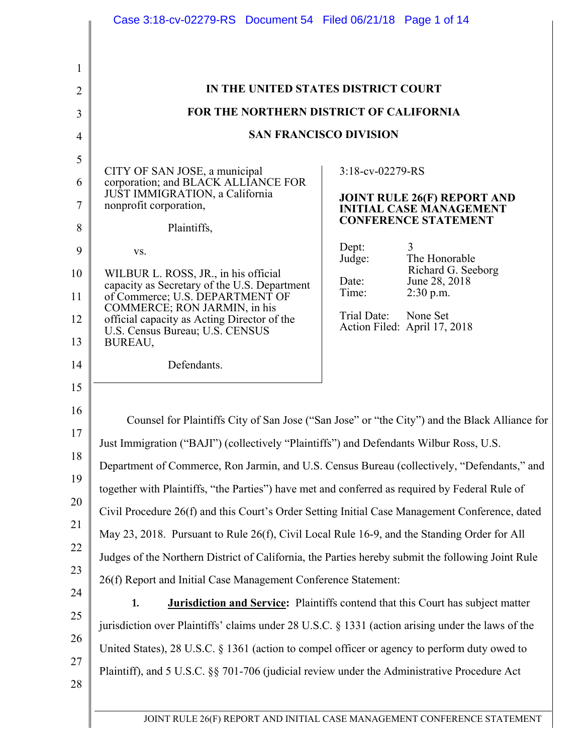|                                                          | IN THE UNITED STATES DISTRICT COURT                                                                                                                      |                               |                                                                                                                                                                                                                                                                                                                                                                                                                                                                                                                                                                                                                                                                                                                                                                                                     |
|----------------------------------------------------------|----------------------------------------------------------------------------------------------------------------------------------------------------------|-------------------------------|-----------------------------------------------------------------------------------------------------------------------------------------------------------------------------------------------------------------------------------------------------------------------------------------------------------------------------------------------------------------------------------------------------------------------------------------------------------------------------------------------------------------------------------------------------------------------------------------------------------------------------------------------------------------------------------------------------------------------------------------------------------------------------------------------------|
|                                                          | FOR THE NORTHERN DISTRICT OF CALIFORNIA                                                                                                                  |                               |                                                                                                                                                                                                                                                                                                                                                                                                                                                                                                                                                                                                                                                                                                                                                                                                     |
|                                                          |                                                                                                                                                          | <b>SAN FRANCISCO DIVISION</b> |                                                                                                                                                                                                                                                                                                                                                                                                                                                                                                                                                                                                                                                                                                                                                                                                     |
|                                                          |                                                                                                                                                          |                               |                                                                                                                                                                                                                                                                                                                                                                                                                                                                                                                                                                                                                                                                                                                                                                                                     |
| CITY OF SAN JOSE, a municipal                            | corporation; and BLACK ALLIANCE FOR                                                                                                                      | 3:18-cv-02279-RS              |                                                                                                                                                                                                                                                                                                                                                                                                                                                                                                                                                                                                                                                                                                                                                                                                     |
| JUST IMMIGRATION, a California<br>nonprofit corporation, |                                                                                                                                                          |                               | JOINT RULE 26(F) REPORT AND<br><b>INITIAL CASE MANAGEMENT</b>                                                                                                                                                                                                                                                                                                                                                                                                                                                                                                                                                                                                                                                                                                                                       |
| Plaintiffs,                                              |                                                                                                                                                          |                               | <b>CONFERENCE STATEMENT</b>                                                                                                                                                                                                                                                                                                                                                                                                                                                                                                                                                                                                                                                                                                                                                                         |
| VS.                                                      |                                                                                                                                                          | Dept:                         | 3                                                                                                                                                                                                                                                                                                                                                                                                                                                                                                                                                                                                                                                                                                                                                                                                   |
| WILBUR L. ROSS, JR., in his official                     |                                                                                                                                                          | Judge:                        | The Honorable<br>Richard G. Seeborg                                                                                                                                                                                                                                                                                                                                                                                                                                                                                                                                                                                                                                                                                                                                                                 |
|                                                          | capacity as Secretary of the U.S. Department<br>of Commerce; U.S. DEPARTMENT OF                                                                          | Date:<br>Time:                | June 28, 2018<br>$2:30$ p.m.                                                                                                                                                                                                                                                                                                                                                                                                                                                                                                                                                                                                                                                                                                                                                                        |
| COMMERCE; RON JARMIN, in his                             | official capacity as Acting Director of the                                                                                                              | Trial Date:                   | None Set                                                                                                                                                                                                                                                                                                                                                                                                                                                                                                                                                                                                                                                                                                                                                                                            |
| U.S. Census Bureau; U.S. CENSUS<br>BUREAU,               |                                                                                                                                                          |                               | Action Filed: April 17, 2018                                                                                                                                                                                                                                                                                                                                                                                                                                                                                                                                                                                                                                                                                                                                                                        |
| Defendants.                                              |                                                                                                                                                          |                               |                                                                                                                                                                                                                                                                                                                                                                                                                                                                                                                                                                                                                                                                                                                                                                                                     |
| 1.                                                       | Just Immigration ("BAJI") (collectively "Plaintiffs") and Defendants Wilbur Ross, U.S.<br>26(f) Report and Initial Case Management Conference Statement: |                               | Counsel for Plaintiffs City of San Jose ("San Jose" or "the City") and the Black Alliance for<br>Department of Commerce, Ron Jarmin, and U.S. Census Bureau (collectively, "Defendants," and<br>together with Plaintiffs, "the Parties") have met and conferred as required by Federal Rule of<br>Civil Procedure 26(f) and this Court's Order Setting Initial Case Management Conference, dated<br>May 23, 2018. Pursuant to Rule 26(f), Civil Local Rule 16-9, and the Standing Order for All<br>Judges of the Northern District of California, the Parties hereby submit the following Joint Rule<br><b>Jurisdiction and Service:</b> Plaintiffs contend that this Court has subject matter<br>jurisdiction over Plaintiffs' claims under 28 U.S.C. § 1331 (action arising under the laws of the |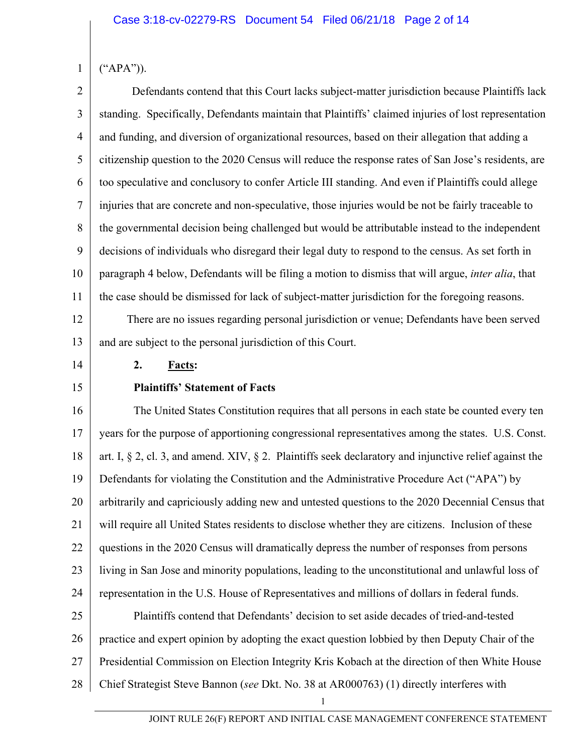$(^{\prime\prime}APA^{\prime\prime})$ ).

1

2 3 4 5 6 7 8 9 10 11 Defendants contend that this Court lacks subject-matter jurisdiction because Plaintiffs lack standing. Specifically, Defendants maintain that Plaintiffs' claimed injuries of lost representation and funding, and diversion of organizational resources, based on their allegation that adding a citizenship question to the 2020 Census will reduce the response rates of San Jose's residents, are too speculative and conclusory to confer Article III standing. And even if Plaintiffs could allege injuries that are concrete and non-speculative, those injuries would be not be fairly traceable to the governmental decision being challenged but would be attributable instead to the independent decisions of individuals who disregard their legal duty to respond to the census. As set forth in paragraph 4 below, Defendants will be filing a motion to dismiss that will argue, *inter alia*, that the case should be dismissed for lack of subject-matter jurisdiction for the foregoing reasons.

12 13 There are no issues regarding personal jurisdiction or venue; Defendants have been served and are subject to the personal jurisdiction of this Court.

14

15

### **2. Facts:**

# **Plaintiffs' Statement of Facts**

16 17 18 19 20 21 22 23 24 25 26 27 28 The United States Constitution requires that all persons in each state be counted every ten years for the purpose of apportioning congressional representatives among the states. U.S. Const. art. I,  $\S 2$ , cl. 3, and amend. XIV,  $\S 2$ . Plaintiffs seek declaratory and injunctive relief against the Defendants for violating the Constitution and the Administrative Procedure Act ("APA") by arbitrarily and capriciously adding new and untested questions to the 2020 Decennial Census that will require all United States residents to disclose whether they are citizens. Inclusion of these questions in the 2020 Census will dramatically depress the number of responses from persons living in San Jose and minority populations, leading to the unconstitutional and unlawful loss of representation in the U.S. House of Representatives and millions of dollars in federal funds. Plaintiffs contend that Defendants' decision to set aside decades of tried-and-tested practice and expert opinion by adopting the exact question lobbied by then Deputy Chair of the Presidential Commission on Election Integrity Kris Kobach at the direction of then White House Chief Strategist Steve Bannon (*see* Dkt. No. 38 at AR000763) (1) directly interferes with

JOINT RULE 26(F) REPORT AND INITIAL CASE MANAGEMENT CONFERENCE STATEMENT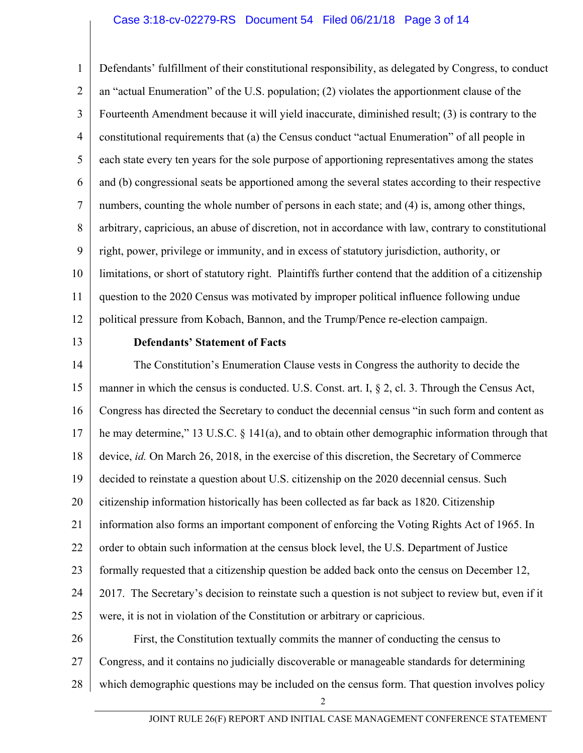### Case 3:18-cv-02279-RS Document 54 Filed 06/21/18 Page 3 of 14

1 2 3 4 5 6 7 8 9 10 11 12 Defendants' fulfillment of their constitutional responsibility, as delegated by Congress, to conduct an "actual Enumeration" of the U.S. population; (2) violates the apportionment clause of the Fourteenth Amendment because it will yield inaccurate, diminished result; (3) is contrary to the constitutional requirements that (a) the Census conduct "actual Enumeration" of all people in each state every ten years for the sole purpose of apportioning representatives among the states and (b) congressional seats be apportioned among the several states according to their respective numbers, counting the whole number of persons in each state; and (4) is, among other things, arbitrary, capricious, an abuse of discretion, not in accordance with law, contrary to constitutional right, power, privilege or immunity, and in excess of statutory jurisdiction, authority, or limitations, or short of statutory right. Plaintiffs further contend that the addition of a citizenship question to the 2020 Census was motivated by improper political influence following undue political pressure from Kobach, Bannon, and the Trump/Pence re-election campaign.

13

#### **Defendants' Statement of Facts**

14 15 16 17 18 19 20 21 22 23 24 25 26 27 28 The Constitution's Enumeration Clause vests in Congress the authority to decide the manner in which the census is conducted. U.S. Const. art. I, § 2, cl. 3. Through the Census Act, Congress has directed the Secretary to conduct the decennial census "in such form and content as he may determine," 13 U.S.C. § 141(a), and to obtain other demographic information through that device, *id.* On March 26, 2018, in the exercise of this discretion, the Secretary of Commerce decided to reinstate a question about U.S. citizenship on the 2020 decennial census. Such citizenship information historically has been collected as far back as 1820. Citizenship information also forms an important component of enforcing the Voting Rights Act of 1965. In order to obtain such information at the census block level, the U.S. Department of Justice formally requested that a citizenship question be added back onto the census on December 12, 2017. The Secretary's decision to reinstate such a question is not subject to review but, even if it were, it is not in violation of the Constitution or arbitrary or capricious. First, the Constitution textually commits the manner of conducting the census to Congress, and it contains no judicially discoverable or manageable standards for determining which demographic questions may be included on the census form. That question involves policy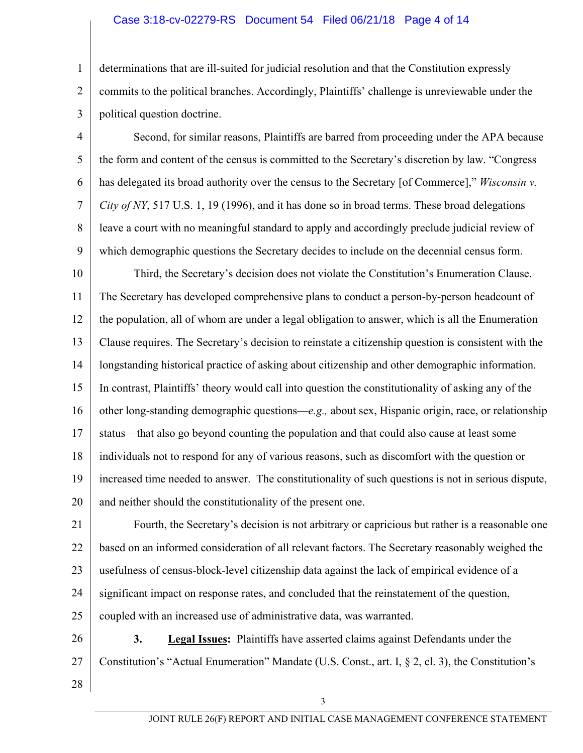### Case 3:18-cv-02279-RS Document 54 Filed 06/21/18 Page 4 of 14

determinations that are ill-suited for judicial resolution and that the Constitution expressly commits to the political branches. Accordingly, Plaintiffs' challenge is unreviewable under the political question doctrine.

4 5 6 7 8 9 Second, for similar reasons, Plaintiffs are barred from proceeding under the APA because the form and content of the census is committed to the Secretary's discretion by law. "Congress has delegated its broad authority over the census to the Secretary [of Commerce]," *Wisconsin v. City of NY*, 517 U.S. 1, 19 (1996), and it has done so in broad terms. These broad delegations leave a court with no meaningful standard to apply and accordingly preclude judicial review of which demographic questions the Secretary decides to include on the decennial census form.

10 11 12 13 14 15 16 17 18 19 20 Third, the Secretary's decision does not violate the Constitution's Enumeration Clause. The Secretary has developed comprehensive plans to conduct a person-by-person headcount of the population, all of whom are under a legal obligation to answer, which is all the Enumeration Clause requires. The Secretary's decision to reinstate a citizenship question is consistent with the longstanding historical practice of asking about citizenship and other demographic information. In contrast, Plaintiffs' theory would call into question the constitutionality of asking any of the other long-standing demographic questions—*e.g.,* about sex, Hispanic origin, race, or relationship status—that also go beyond counting the population and that could also cause at least some individuals not to respond for any of various reasons, such as discomfort with the question or increased time needed to answer. The constitutionality of such questions is not in serious dispute, and neither should the constitutionality of the present one.

21 22 23 24 25 Fourth, the Secretary's decision is not arbitrary or capricious but rather is a reasonable one based on an informed consideration of all relevant factors. The Secretary reasonably weighed the usefulness of census-block-level citizenship data against the lack of empirical evidence of a significant impact on response rates, and concluded that the reinstatement of the question, coupled with an increased use of administrative data, was warranted.

26 27 **3. Legal Issues:** Plaintiffs have asserted claims against Defendants under the Constitution's "Actual Enumeration" Mandate (U.S. Const., art. I, § 2, cl. 3), the Constitution's

28

1

2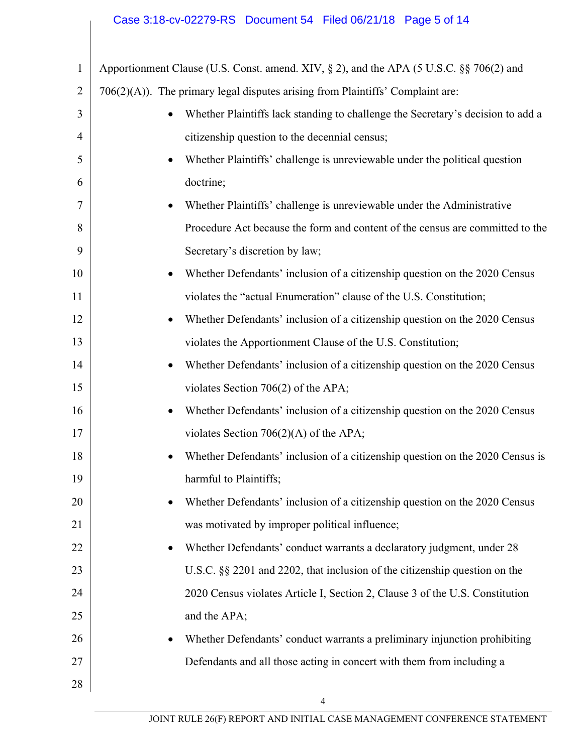# Case 3:18-cv-02279-RS Document 54 Filed 06/21/18 Page 5 of 14

| $\mathbf{1}$   | Apportionment Clause (U.S. Const. amend. XIV, § 2), and the APA (5 U.S.C. §§ 706(2) and |
|----------------|-----------------------------------------------------------------------------------------|
| $\overline{2}$ | $706(2)(A)$ ). The primary legal disputes arising from Plaintiffs' Complaint are:       |
| 3              | Whether Plaintiffs lack standing to challenge the Secretary's decision to add a         |
| 4              | citizenship question to the decennial census;                                           |
| 5              | Whether Plaintiffs' challenge is unreviewable under the political question<br>$\bullet$ |
| 6              | doctrine;                                                                               |
| 7              | Whether Plaintiffs' challenge is unreviewable under the Administrative<br>$\bullet$     |
| 8              | Procedure Act because the form and content of the census are committed to the           |
| 9              | Secretary's discretion by law;                                                          |
| 10             | Whether Defendants' inclusion of a citizenship question on the 2020 Census<br>$\bullet$ |
| 11             | violates the "actual Enumeration" clause of the U.S. Constitution;                      |
| 12             | Whether Defendants' inclusion of a citizenship question on the 2020 Census<br>$\bullet$ |
| 13             | violates the Apportionment Clause of the U.S. Constitution;                             |
| 14             | Whether Defendants' inclusion of a citizenship question on the 2020 Census<br>$\bullet$ |
| 15             | violates Section $706(2)$ of the APA;                                                   |
| 16             | Whether Defendants' inclusion of a citizenship question on the 2020 Census<br>$\bullet$ |
| 17             | violates Section $706(2)(A)$ of the APA;                                                |
| 18             | Whether Defendants' inclusion of a citizenship question on the 2020 Census is           |
| 19             | harmful to Plaintiffs;                                                                  |
| 20             | Whether Defendants' inclusion of a citizenship question on the 2020 Census              |
| 21             | was motivated by improper political influence;                                          |
| 22             | Whether Defendants' conduct warrants a declaratory judgment, under 28<br>٠              |
| 23             | U.S.C. $\S$ 2201 and 2202, that inclusion of the citizenship question on the            |
| 24             | 2020 Census violates Article I, Section 2, Clause 3 of the U.S. Constitution            |
| 25             | and the APA;                                                                            |
| 26             | Whether Defendants' conduct warrants a preliminary injunction prohibiting<br>٠          |
| 27             | Defendants and all those acting in concert with them from including a                   |
| 28             |                                                                                         |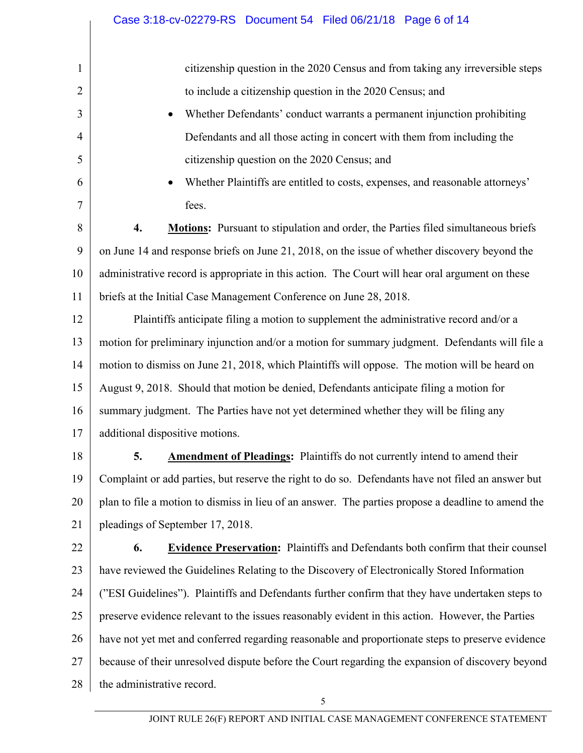|                | Case 3:18-cv-02279-RS  Document 54  Filed 06/21/18  Page 6 of 14                                   |
|----------------|----------------------------------------------------------------------------------------------------|
| 1              | citizenship question in the 2020 Census and from taking any irreversible steps                     |
| $\overline{2}$ | to include a citizenship question in the 2020 Census; and                                          |
| 3              | Whether Defendants' conduct warrants a permanent injunction prohibiting                            |
| $\overline{4}$ | Defendants and all those acting in concert with them from including the                            |
| 5              | citizenship question on the 2020 Census; and                                                       |
| 6              | Whether Plaintiffs are entitled to costs, expenses, and reasonable attorneys'                      |
| 7              | fees.                                                                                              |
| 8              | 4.<br><b>Motions:</b> Pursuant to stipulation and order, the Parties filed simultaneous briefs     |
| 9              | on June 14 and response briefs on June 21, 2018, on the issue of whether discovery beyond the      |
| 10             | administrative record is appropriate in this action. The Court will hear oral argument on these    |
| 11             | briefs at the Initial Case Management Conference on June 28, 2018.                                 |
| 12             | Plaintiffs anticipate filing a motion to supplement the administrative record and/or a             |
| 13             | motion for preliminary injunction and/or a motion for summary judgment. Defendants will file a     |
| 14             | motion to dismiss on June 21, 2018, which Plaintiffs will oppose. The motion will be heard on      |
| 15             | August 9, 2018. Should that motion be denied, Defendants anticipate filing a motion for            |
| 16             | summary judgment. The Parties have not yet determined whether they will be filing any              |
| 17             | additional dispositive motions.                                                                    |
| 18             | <b>Amendment of Pleadings:</b> Plaintiffs do not currently intend to amend their<br>5.             |
| 19             | Complaint or add parties, but reserve the right to do so. Defendants have not filed an answer but  |
| 20             | plan to file a motion to dismiss in lieu of an answer. The parties propose a deadline to amend the |
| 21             | pleadings of September 17, 2018.                                                                   |
| 22             | <b>Evidence Preservation:</b> Plaintiffs and Defendants both confirm that their counsel<br>6.      |
| 23             | have reviewed the Guidelines Relating to the Discovery of Electronically Stored Information        |
| 24             | ("ESI Guidelines"). Plaintiffs and Defendants further confirm that they have undertaken steps to   |
| 25             | preserve evidence relevant to the issues reasonably evident in this action. However, the Parties   |
| 26             | have not yet met and conferred regarding reasonable and proportionate steps to preserve evidence   |
| 27             | because of their unresolved dispute before the Court regarding the expansion of discovery beyond   |
| 28             | the administrative record.                                                                         |
|                | 5                                                                                                  |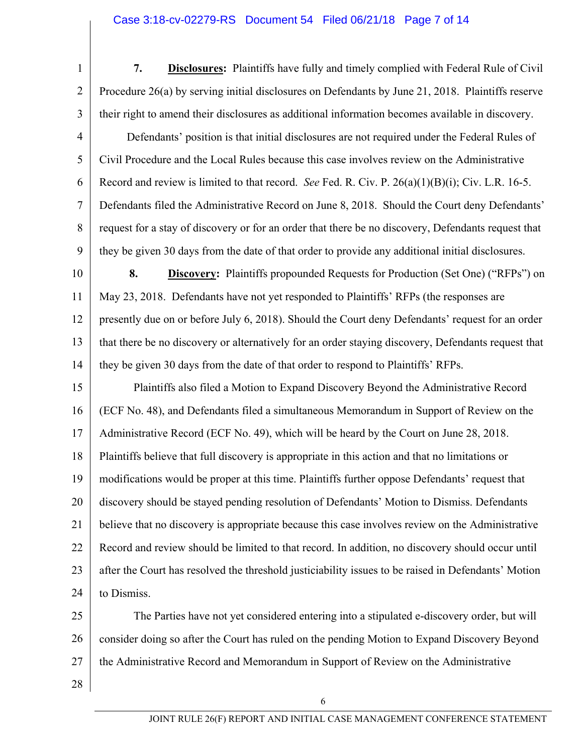### Case 3:18-cv-02279-RS Document 54 Filed 06/21/18 Page 7 of 14

1 2 3 4 5 6 7 8 9 **7. Disclosures:** Plaintiffs have fully and timely complied with Federal Rule of Civil Procedure 26(a) by serving initial disclosures on Defendants by June 21, 2018. Plaintiffs reserve their right to amend their disclosures as additional information becomes available in discovery. Defendants' position is that initial disclosures are not required under the Federal Rules of Civil Procedure and the Local Rules because this case involves review on the Administrative Record and review is limited to that record. *See* Fed. R. Civ. P. 26(a)(1)(B)(i); Civ. L.R. 16-5. Defendants filed the Administrative Record on June 8, 2018. Should the Court deny Defendants' request for a stay of discovery or for an order that there be no discovery, Defendants request that they be given 30 days from the date of that order to provide any additional initial disclosures.

10 11 12 13 14 **8. Discovery:** Plaintiffs propounded Requests for Production (Set One) ("RFPs") on May 23, 2018. Defendants have not yet responded to Plaintiffs' RFPs (the responses are presently due on or before July 6, 2018). Should the Court deny Defendants' request for an order that there be no discovery or alternatively for an order staying discovery, Defendants request that they be given 30 days from the date of that order to respond to Plaintiffs' RFPs.

15 16 17 18 19 20 21 22 23 24 Plaintiffs also filed a Motion to Expand Discovery Beyond the Administrative Record (ECF No. 48), and Defendants filed a simultaneous Memorandum in Support of Review on the Administrative Record (ECF No. 49), which will be heard by the Court on June 28, 2018. Plaintiffs believe that full discovery is appropriate in this action and that no limitations or modifications would be proper at this time. Plaintiffs further oppose Defendants' request that discovery should be stayed pending resolution of Defendants' Motion to Dismiss. Defendants believe that no discovery is appropriate because this case involves review on the Administrative Record and review should be limited to that record. In addition, no discovery should occur until after the Court has resolved the threshold justiciability issues to be raised in Defendants' Motion to Dismiss.

25 26 27 The Parties have not yet considered entering into a stipulated e-discovery order, but will consider doing so after the Court has ruled on the pending Motion to Expand Discovery Beyond the Administrative Record and Memorandum in Support of Review on the Administrative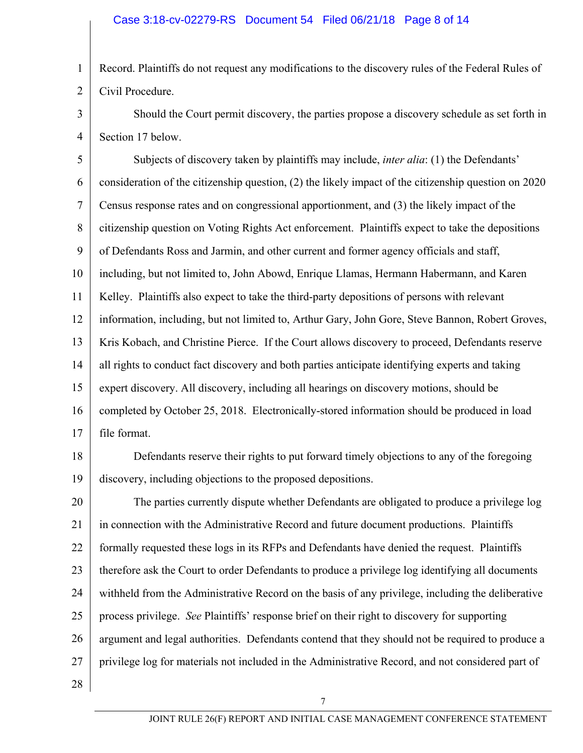1 2 Record. Plaintiffs do not request any modifications to the discovery rules of the Federal Rules of Civil Procedure.

3 4 Should the Court permit discovery, the parties propose a discovery schedule as set forth in Section 17 below.

5 6 7 8 9 10 11 12 13 14 15 16 17 Subjects of discovery taken by plaintiffs may include, *inter alia*: (1) the Defendants' consideration of the citizenship question, (2) the likely impact of the citizenship question on 2020 Census response rates and on congressional apportionment, and (3) the likely impact of the citizenship question on Voting Rights Act enforcement. Plaintiffs expect to take the depositions of Defendants Ross and Jarmin, and other current and former agency officials and staff, including, but not limited to, John Abowd, Enrique Llamas, Hermann Habermann, and Karen Kelley. Plaintiffs also expect to take the third-party depositions of persons with relevant information, including, but not limited to, Arthur Gary, John Gore, Steve Bannon, Robert Groves, Kris Kobach, and Christine Pierce. If the Court allows discovery to proceed, Defendants reserve all rights to conduct fact discovery and both parties anticipate identifying experts and taking expert discovery. All discovery, including all hearings on discovery motions, should be completed by October 25, 2018. Electronically-stored information should be produced in load file format.

18

19 Defendants reserve their rights to put forward timely objections to any of the foregoing discovery, including objections to the proposed depositions.

20 21 22 23 24 25 26 27 The parties currently dispute whether Defendants are obligated to produce a privilege log in connection with the Administrative Record and future document productions. Plaintiffs formally requested these logs in its RFPs and Defendants have denied the request. Plaintiffs therefore ask the Court to order Defendants to produce a privilege log identifying all documents withheld from the Administrative Record on the basis of any privilege, including the deliberative process privilege. *See* Plaintiffs' response brief on their right to discovery for supporting argument and legal authorities. Defendants contend that they should not be required to produce a privilege log for materials not included in the Administrative Record, and not considered part of

28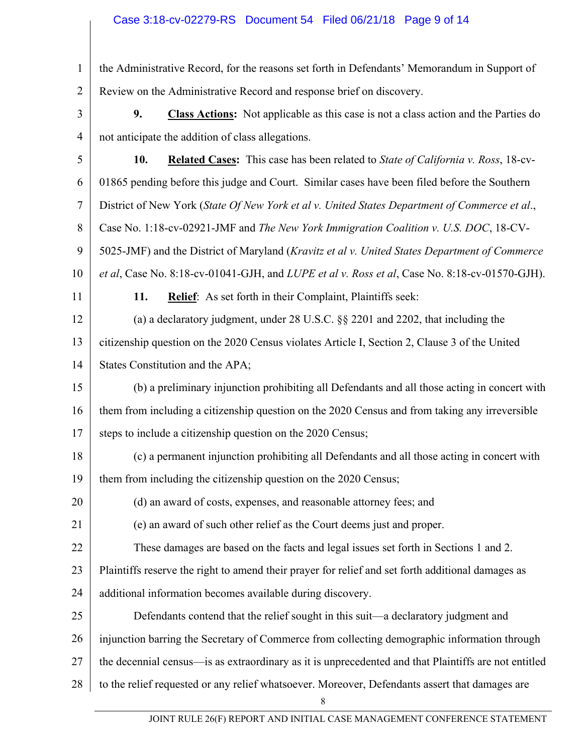# Case 3:18-cv-02279-RS Document 54 Filed 06/21/18 Page 9 of 14

| the Administrative Record, for the reasons set forth in Defendants' Memorandum in Support of |
|----------------------------------------------------------------------------------------------|
| 2   Review on the Administrative Record and response brief on discovery.                     |

- 3 4 **9. Class Actions:** Not applicable as this case is not a class action and the Parties do not anticipate the addition of class allegations.
- 5 6 7 8 9 10 11 12 13 14 15 16 17 18 19 20 21 22 23 24 25 26 27 **10. Related Cases:** This case has been related to *State of California v. Ross*, 18-cv-01865 pending before this judge and Court. Similar cases have been filed before the Southern District of New York (*State Of New York et al v. United States Department of Commerce et al*., Case No. 1:18-cv-02921-JMF and *The New York Immigration Coalition v. U.S. DOC*, 18-CV-5025-JMF) and the District of Maryland (*Kravitz et al v. United States Department of Commerce et al*, Case No. 8:18-cv-01041-GJH, and *LUPE et al v. Ross et al*, Case No. 8:18-cv-01570-GJH). **11. Relief**: As set forth in their Complaint, Plaintiffs seek: (a) a declaratory judgment, under 28 U.S.C. §§ 2201 and 2202, that including the citizenship question on the 2020 Census violates Article I, Section 2, Clause 3 of the United States Constitution and the APA; (b) a preliminary injunction prohibiting all Defendants and all those acting in concert with them from including a citizenship question on the 2020 Census and from taking any irreversible steps to include a citizenship question on the 2020 Census; (c) a permanent injunction prohibiting all Defendants and all those acting in concert with them from including the citizenship question on the 2020 Census; (d) an award of costs, expenses, and reasonable attorney fees; and (e) an award of such other relief as the Court deems just and proper. These damages are based on the facts and legal issues set forth in Sections 1 and 2. Plaintiffs reserve the right to amend their prayer for relief and set forth additional damages as additional information becomes available during discovery. Defendants contend that the relief sought in this suit—a declaratory judgment and injunction barring the Secretary of Commerce from collecting demographic information through the decennial census—is as extraordinary as it is unprecedented and that Plaintiffs are not entitled
- 28 to the relief requested or any relief whatsoever. Moreover, Defendants assert that damages are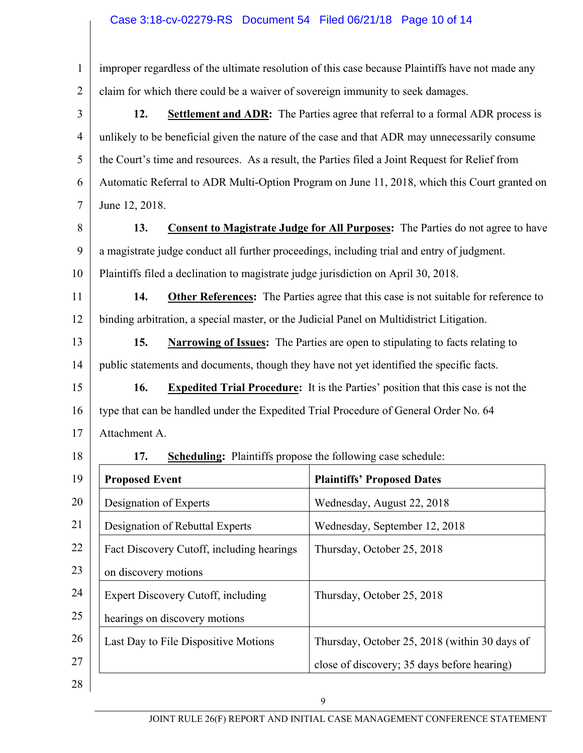### Case 3:18-cv-02279-RS Document 54 Filed 06/21/18 Page 10 of 14

1 2 improper regardless of the ultimate resolution of this case because Plaintiffs have not made any claim for which there could be a waiver of sovereign immunity to seek damages.

3 4 5 6 7 **12. Settlement and ADR:** The Parties agree that referral to a formal ADR process is unlikely to be beneficial given the nature of the case and that ADR may unnecessarily consume the Court's time and resources. As a result, the Parties filed a Joint Request for Relief from Automatic Referral to ADR Multi-Option Program on June 11, 2018, which this Court granted on June 12, 2018.

8

9

10

18

**13. Consent to Magistrate Judge for All Purposes:** The Parties do not agree to have a magistrate judge conduct all further proceedings, including trial and entry of judgment. Plaintiffs filed a declination to magistrate judge jurisdiction on April 30, 2018.

11 12 **14. Other References:** The Parties agree that this case is not suitable for reference to binding arbitration, a special master, or the Judicial Panel on Multidistrict Litigation.

13 14 **15. Narrowing of Issues:** The Parties are open to stipulating to facts relating to public statements and documents, though they have not yet identified the specific facts.

15 16 17 **16. Expedited Trial Procedure:** It is the Parties' position that this case is not the type that can be handled under the Expedited Trial Procedure of General Order No. 64 Attachment A.

**17. Scheduling:** Plaintiffs propose the following case schedule:

| 19 | <b>Proposed Event</b>                     | <b>Plaintiffs' Proposed Dates</b>             |
|----|-------------------------------------------|-----------------------------------------------|
| 20 | Designation of Experts                    | Wednesday, August 22, 2018                    |
| 21 | Designation of Rebuttal Experts           | Wednesday, September 12, 2018                 |
| 22 | Fact Discovery Cutoff, including hearings | Thursday, October 25, 2018                    |
| 23 | on discovery motions                      |                                               |
| 24 | Expert Discovery Cutoff, including        | Thursday, October 25, 2018                    |
| 25 | hearings on discovery motions             |                                               |
| 26 | Last Day to File Dispositive Motions      | Thursday, October 25, 2018 (within 30 days of |
| 27 |                                           | close of discovery; 35 days before hearing)   |
| 28 |                                           |                                               |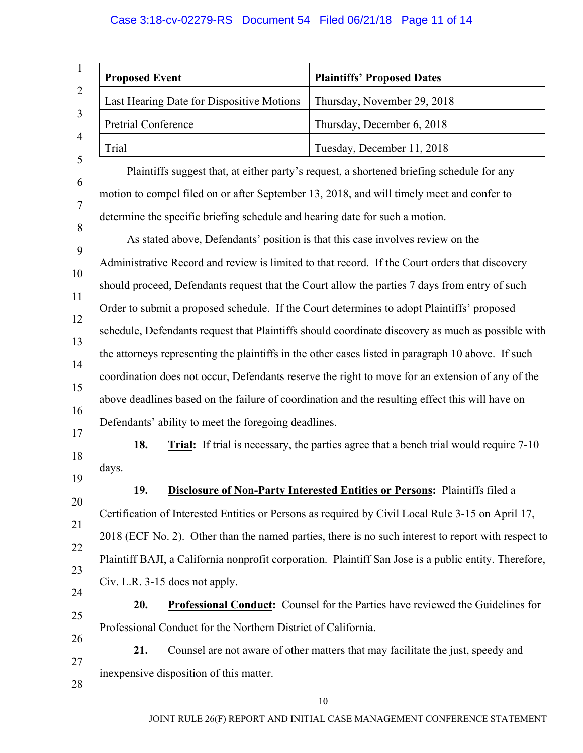# Case 3:18-cv-02279-RS Document 54 Filed 06/21/18 Page 11 of 14

| <b>Proposed Event</b>                     | <b>Plaintiffs' Proposed Dates</b> |
|-------------------------------------------|-----------------------------------|
| Last Hearing Date for Dispositive Motions | Thursday, November 29, 2018       |
| Pretrial Conference                       | Thursday, December 6, 2018        |
| Trial                                     | Tuesday, December 11, 2018        |

Plaintiffs suggest that, at either party's request, a shortened briefing schedule for any motion to compel filed on or after September 13, 2018, and will timely meet and confer to determine the specific briefing schedule and hearing date for such a motion.

9 10 11 12 13 14 15 16 17 As stated above, Defendants' position is that this case involves review on the Administrative Record and review is limited to that record. If the Court orders that discovery should proceed, Defendants request that the Court allow the parties 7 days from entry of such Order to submit a proposed schedule. If the Court determines to adopt Plaintiffs' proposed schedule, Defendants request that Plaintiffs should coordinate discovery as much as possible with the attorneys representing the plaintiffs in the other cases listed in paragraph 10 above. If such coordination does not occur, Defendants reserve the right to move for an extension of any of the above deadlines based on the failure of coordination and the resulting effect this will have on Defendants' ability to meet the foregoing deadlines.

18 19 **18. Trial:** If trial is necessary, the parties agree that a bench trial would require 7-10 days.

20

21

22

23

24

6

7

8

**19. Disclosure of Non-Party Interested Entities or Persons:** Plaintiffs filed a Certification of Interested Entities or Persons as required by Civil Local Rule 3-15 on April 17, 2018 (ECF No. 2). Other than the named parties, there is no such interest to report with respect to Plaintiff BAJI, a California nonprofit corporation. Plaintiff San Jose is a public entity. Therefore, Civ. L.R. 3-15 does not apply.

25 **20. Professional Conduct:** Counsel for the Parties have reviewed the Guidelines for Professional Conduct for the Northern District of California.

26 27 28 **21.** Counsel are not aware of other matters that may facilitate the just, speedy and inexpensive disposition of this matter.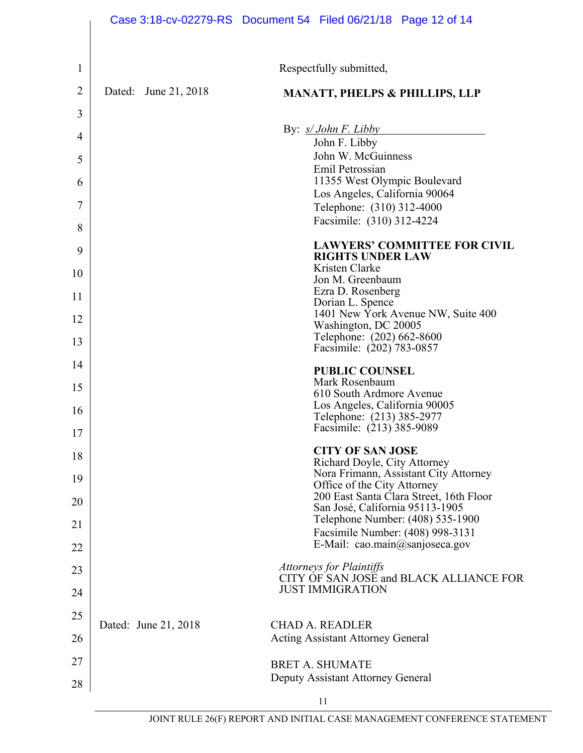|                |                      | Case 3:18-cv-02279-RS  Document 54  Filed 06/21/18  Page 12 of 14              |
|----------------|----------------------|--------------------------------------------------------------------------------|
| 1              |                      | Respectfully submitted,                                                        |
| $\overline{2}$ | Dated: June 21, 2018 | <b>MANATT, PHELPS &amp; PHILLIPS, LLP</b>                                      |
| 3              |                      |                                                                                |
| $\overline{4}$ |                      | By: $s/John F. Libby$                                                          |
| 5              |                      | John F. Libby<br>John W. McGuinness                                            |
| 6              |                      | Emil Petrossian<br>11355 West Olympic Boulevard                                |
| $\overline{7}$ |                      | Los Angeles, California 90064<br>Telephone: (310) 312-4000                     |
| 8              |                      | Facsimile: (310) 312-4224                                                      |
| 9              |                      | <b>LAWYERS' COMMITTEE FOR CIVIL</b>                                            |
| 10             |                      | <b>RIGHTS UNDER LAW</b><br>Kristen Clarke                                      |
| 11             |                      | Jon M. Greenbaum<br>Ezra D. Rosenberg                                          |
| 12             |                      | Dorian L. Spence<br>1401 New York Avenue NW, Suite 400                         |
| 13             |                      | Washington, DC 20005<br>Telephone: (202) 662-8600<br>Facsimile: (202) 783-0857 |
| 14             |                      | <b>PUBLIC COUNSEL</b>                                                          |
| 15             |                      | Mark Rosenbaum<br>610 South Ardmore Avenue                                     |
| 16             |                      | Los Angeles, California 90005<br>Telephone: (213) 385-2977                     |
| 17             |                      | Facsimile: (213) 385-9089                                                      |
| 18             |                      | <b>CITY OF SAN JOSE</b><br>Richard Doyle, City Attorney                        |
| 19             |                      | Nora Frimann, Assistant City Attorney<br>Office of the City Attorney           |
| 20             |                      | 200 East Santa Clara Street, 16th Floor<br>San José, California 95113-1905     |
| 21             |                      | Telephone Number: (408) 535-1900<br>Facsimile Number: (408) 998-3131           |
| 22             |                      | E-Mail: cao.main@sanjoseca.gov                                                 |
| 23             |                      | <b>Attorneys for Plaintiffs</b><br>CITY OF SAN JOSE and BLACK ALLIANCE FOR     |
| 24             |                      | <b>JUST IMMIGRATION</b>                                                        |
| 25             | Dated: June 21, 2018 | <b>CHAD A. READLER</b>                                                         |
| 26             |                      | <b>Acting Assistant Attorney General</b>                                       |
| 27             |                      | <b>BRET A. SHUMATE</b>                                                         |
| 28             |                      | Deputy Assistant Attorney General                                              |
|                |                      | 11                                                                             |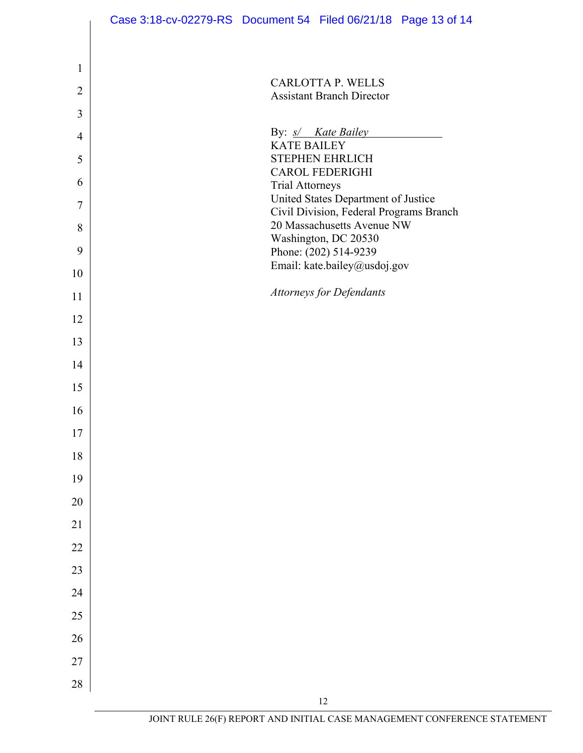|                | Case 3:18-cv-02279-RS  Document 54  Filed 06/21/18  Page 13 of 14              |  |
|----------------|--------------------------------------------------------------------------------|--|
|                |                                                                                |  |
| $\mathbf{1}$   | <b>CARLOTTA P. WELLS</b>                                                       |  |
| $\overline{2}$ | <b>Assistant Branch Director</b>                                               |  |
| 3              |                                                                                |  |
| $\overline{4}$ | By: s/ Kate Bailey<br><b>KATE BAILEY</b>                                       |  |
| 5              | <b>STEPHEN EHRLICH</b><br><b>CAROL FEDERIGHI</b>                               |  |
| 6              | <b>Trial Attorneys</b>                                                         |  |
| 7              | United States Department of Justice<br>Civil Division, Federal Programs Branch |  |
| 8              | 20 Massachusetts Avenue NW<br>Washington, DC 20530                             |  |
| 9              | Phone: (202) 514-9239                                                          |  |
| 10             | Email: kate.bailey@usdoj.gov                                                   |  |
| 11             | <b>Attorneys for Defendants</b>                                                |  |
| 12             |                                                                                |  |
| 13             |                                                                                |  |
| 14             |                                                                                |  |
| 15             |                                                                                |  |
| 16             |                                                                                |  |
| $17\,$         |                                                                                |  |
| 18             |                                                                                |  |
| 19             |                                                                                |  |
| $20\,$         |                                                                                |  |
| $21\,$         |                                                                                |  |
| $22\,$         |                                                                                |  |
| 23             |                                                                                |  |
| 24             |                                                                                |  |
| 25             |                                                                                |  |
| 26             |                                                                                |  |
| $27\,$         |                                                                                |  |
| $28\,$         |                                                                                |  |
|                | 12                                                                             |  |